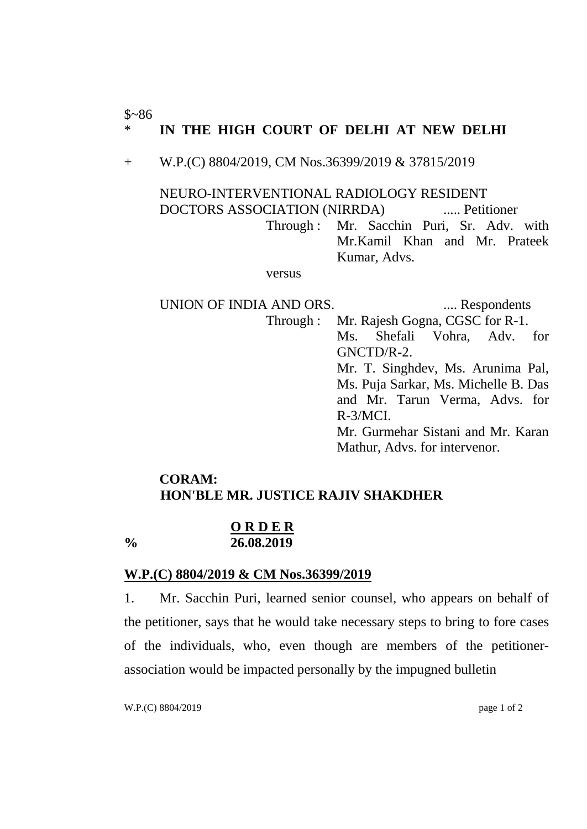#### $$~86$ \* **IN THE HIGH COURT OF DELHI AT NEW DELHI**

+ W.P.(C) 8804/2019, CM Nos.36399/2019 & 37815/2019

NEURO-INTERVENTIONAL RADIOLOGY RESIDENT DOCTORS ASSOCIATION (NIRRDA) ..... Petitioner Through : Mr. Sacchin Puri, Sr. Adv. with Mr.Kamil Khan and Mr. Prateek Kumar, Advs.

versus

UNION OF INDIA AND ORS. ..... Respondents Through : Mr. Rajesh Gogna, CGSC for R-1. Ms. Shefali Vohra, Adv. for GNCTD/R-2. Mr. T. Singhdev, Ms. Arunima Pal, Ms. Puja Sarkar, Ms. Michelle B. Das and Mr. Tarun Verma, Advs. for R-3/MCI. Mr. Gurmehar Sistani and Mr. Karan Mathur, Advs. for intervenor.

### **CORAM: HON'BLE MR. JUSTICE RAJIV SHAKDHER**

#### **O R D E R % 26.08.2019**

# **W.P.(C) 8804/2019 & CM Nos.36399/2019**

1. Mr. Sacchin Puri, learned senior counsel, who appears on behalf of the petitioner, says that he would take necessary steps to bring to fore cases of the individuals, who, even though are members of the petitionerassociation would be impacted personally by the impugned bulletin